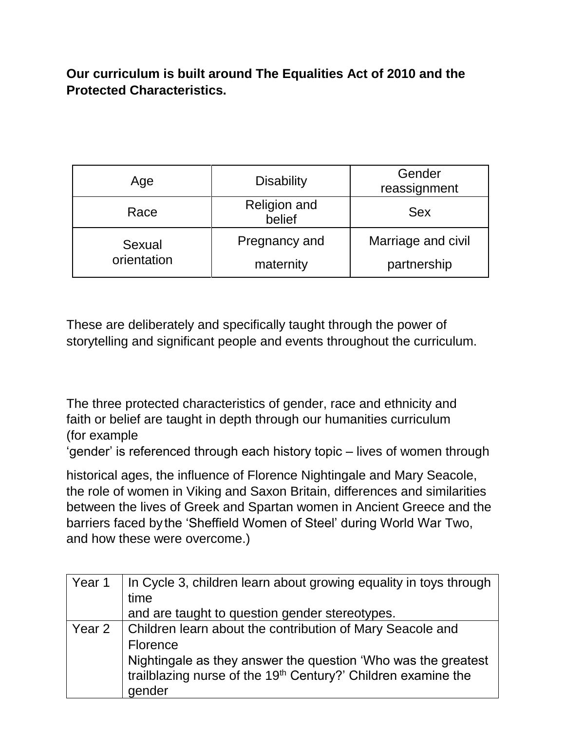**Our curriculum is built around The Equalities Act of 2010 and the Protected Characteristics.**

| Age                   | <b>Disability</b>             | Gender<br>reassignment            |
|-----------------------|-------------------------------|-----------------------------------|
| Race                  | <b>Religion and</b><br>belief | <b>Sex</b>                        |
| Sexual<br>orientation | Pregnancy and<br>maternity    | Marriage and civil<br>partnership |

These are deliberately and specifically taught through the power of storytelling and significant people and events throughout the curriculum.

The three protected characteristics of gender, race and ethnicity and faith or belief are taught in depth through our humanities curriculum (for example

'gender' is referenced through each history topic – lives of women through

historical ages, the influence of Florence Nightingale and Mary Seacole, the role of women in Viking and Saxon Britain, differences and similarities between the lives of Greek and Spartan women in Ancient Greece and the barriers faced bythe 'Sheffield Women of Steel' during World War Two, and how these were overcome.)

| Year 1 | In Cycle 3, children learn about growing equality in toys through                                                                                    |
|--------|------------------------------------------------------------------------------------------------------------------------------------------------------|
|        | time                                                                                                                                                 |
|        | and are taught to question gender stereotypes.                                                                                                       |
| Year 2 | Children learn about the contribution of Mary Seacole and                                                                                            |
|        | <b>Florence</b>                                                                                                                                      |
|        | Nightingale as they answer the question 'Who was the greatest<br>trailblazing nurse of the 19 <sup>th</sup> Century?' Children examine the<br>gender |